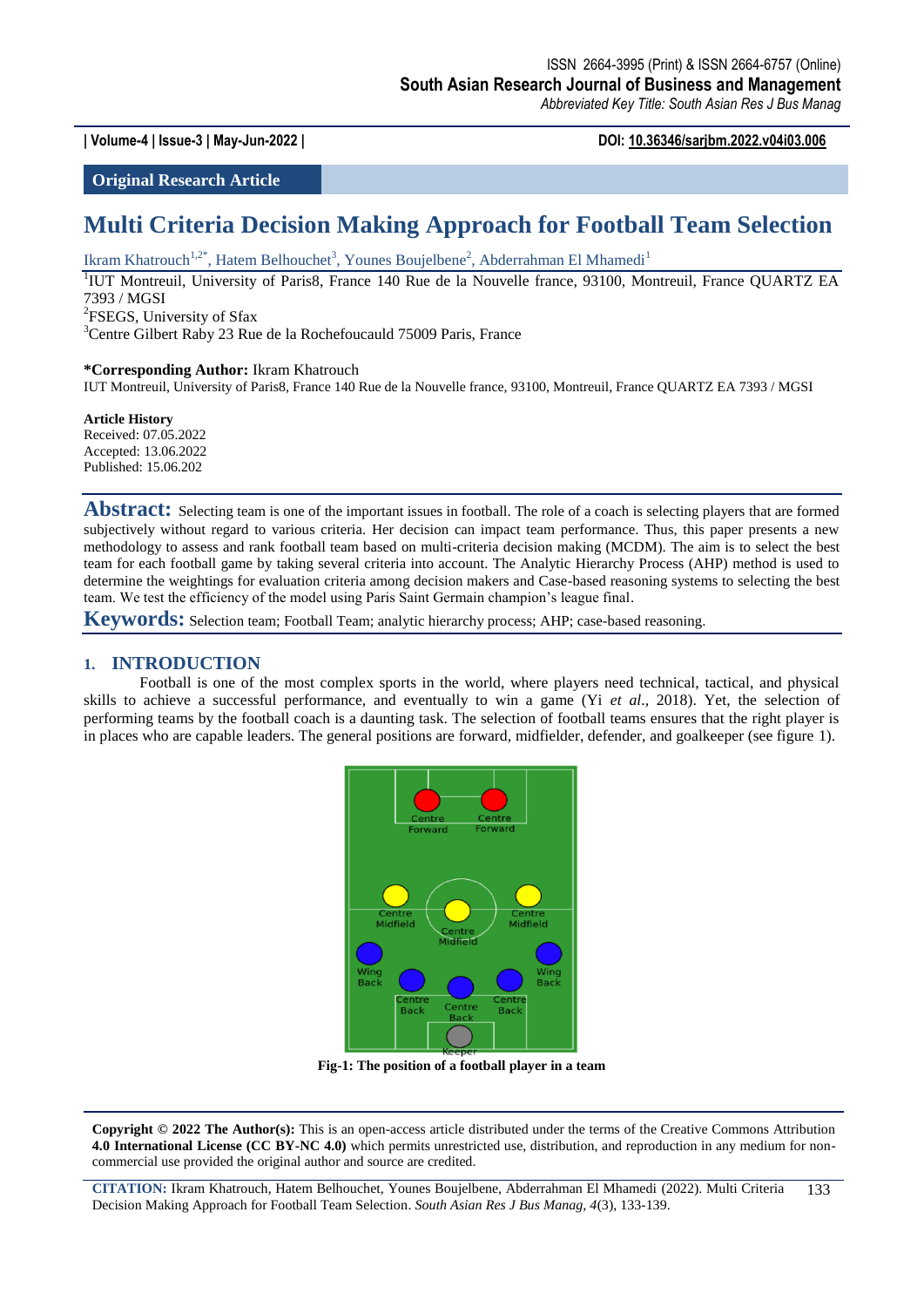**| Volume-4 | Issue-3 | May-Jun-2022 | DOI: 10.36346/sarjbm.2022.v04i03.006**

**Original Research Article**

# **Multi Criteria Decision Making Approach for Football Team Selection**

Ikram Khatrouch<sup>1,2\*</sup>, Hatem Belhouchet<sup>3</sup>, Younes Boujelbene<sup>2</sup>, Abderrahman El Mhamedi<sup>1</sup>

<sup>1</sup>IUT Montreuil, University of Paris8, France 140 Rue de la Nouvelle france, 93100, Montreuil, France QUARTZ EA 7393 / MGSI <sup>2</sup>FSEGS, University of Sfax

<sup>3</sup>Centre Gilbert Raby 23 Rue de la Rochefoucauld 75009 Paris, France

#### **\*Corresponding Author:** Ikram Khatrouch

IUT Montreuil, University of Paris8, France 140 Rue de la Nouvelle france, 93100, Montreuil, France QUARTZ EA 7393 / MGSI

**Article History** Received: 07.05.2022 Accepted: 13.06.2022 Published: 15.06.202

Abstract: Selecting team is one of the important issues in football. The role of a coach is selecting players that are formed subjectively without regard to various criteria. Her decision can impact team performance. Thus, this paper presents a new methodology to assess and rank football team based on multi-criteria decision making (MCDM). The aim is to select the best team for each football game by taking several criteria into account. The Analytic Hierarchy Process (AHP) method is used to determine the weightings for evaluation criteria among decision makers and Case-based reasoning systems to selecting the best team. We test the efficiency of the model using Paris Saint Germain champion's league final.

**Keywords:** Selection team; Football Team; analytic hierarchy process; AHP; case-based reasoning.

#### **1. INTRODUCTION**

Football is one of the most complex sports in the world, where players need technical, tactical, and physical skills to achieve a successful performance, and eventually to win a game (Yi *et al*., 2018). Yet, the selection of performing teams by the football coach is a daunting task. The selection of football teams ensures that the right player is in places who are capable leaders. The general positions are forward, midfielder, defender, and goalkeeper (see figure 1).



**Fig-1: The position of a football player in a team**

**Copyright © 2022 The Author(s):** This is an open-access article distributed under the terms of the Creative Commons Attribution **4.0 International License (CC BY-NC 4.0)** which permits unrestricted use, distribution, and reproduction in any medium for noncommercial use provided the original author and source are credited.

**CITATION:** Ikram Khatrouch, Hatem Belhouchet, Younes Boujelbene, Abderrahman El Mhamedi (2022). Multi Criteria Decision Making Approach for Football Team Selection. *South Asian Res J Bus Manag, 4*(3), 133-139. 133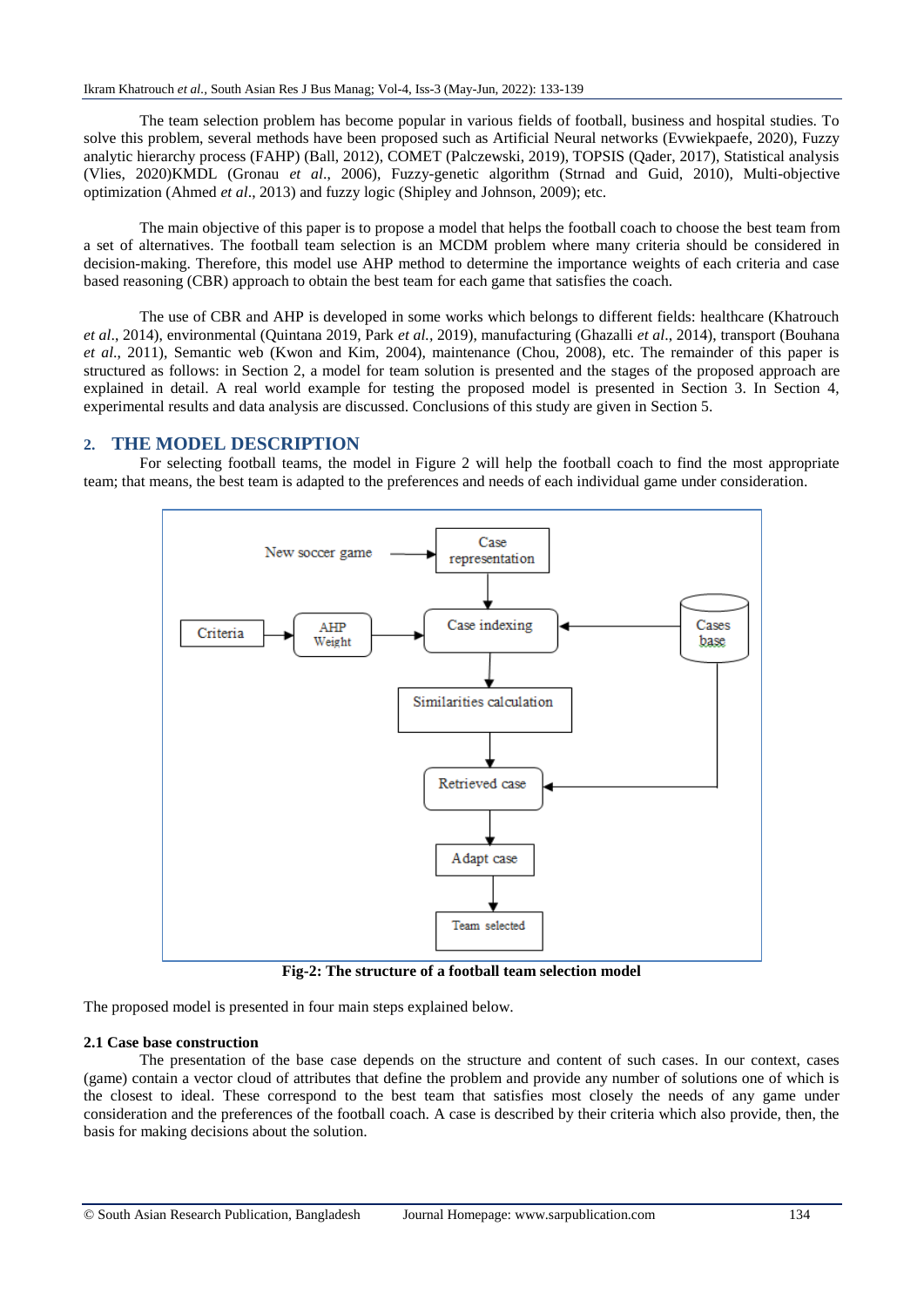The team selection problem has become popular in various fields of football, business and hospital studies. To solve this problem, several methods have been proposed such as Artificial Neural networks [\(Evwiekpaefe,](https://www.researchgate.net/profile/Abraham-Evwiekpaefe) 2020), Fuzzy analytic hierarchy process (FAHP) (Ball, 2012), COMET (Palczewski, 2019), TOPSIS (Qader, 2017), Statistical analysis (Vlies, 2020)KMDL (Gronau *et al*., 2006), Fuzzy-genetic algorithm (Strnad and Guid, 2010), Multi-objective optimization (Ahmed *et al*., 2013) and fuzzy logic (Shipley and Johnson, 2009); etc.

The main objective of this paper is to propose a model that helps the football coach to choose the best team from a set of alternatives. The football team selection is an MCDM problem where many criteria should be considered in decision-making. Therefore, this model use AHP method to determine the importance weights of each criteria and case based reasoning (CBR) approach to obtain the best team for each game that satisfies the coach.

The use of CBR and AHP is developed in some works which belongs to different fields: healthcare (Khatrouch *et al*., 2014), environmental (Quintana 2019, Park *et al.,* 2019), manufacturing (Ghazalli *et al*., 2014), transport (Bouhana *et al*., 2011), Semantic web (Kwon and Kim, 2004), maintenance (Chou, 2008), etc. The remainder of this paper is structured as follows: in Section 2, a model for team solution is presented and the stages of the proposed approach are explained in detail. A real world example for testing the proposed model is presented in Section 3. In Section 4, experimental results and data analysis are discussed. Conclusions of this study are given in Section 5.

# **2. THE MODEL DESCRIPTION**

For selecting football teams, the model in Figure 2 will help the football coach to find the most appropriate team; that means, the best team is adapted to the preferences and needs of each individual game under consideration.



**Fig-2: The structure of a football team selection model**

The proposed model is presented in four main steps explained below.

### **2.1 Case base construction**

The presentation of the base case depends on the structure and content of such cases. In our context, cases (game) contain a vector cloud of attributes that define the problem and provide any number of solutions one of which is the closest to ideal. These correspond to the best team that satisfies most closely the needs of any game under consideration and the preferences of the football coach. A case is described by their criteria which also provide, then, the basis for making decisions about the solution.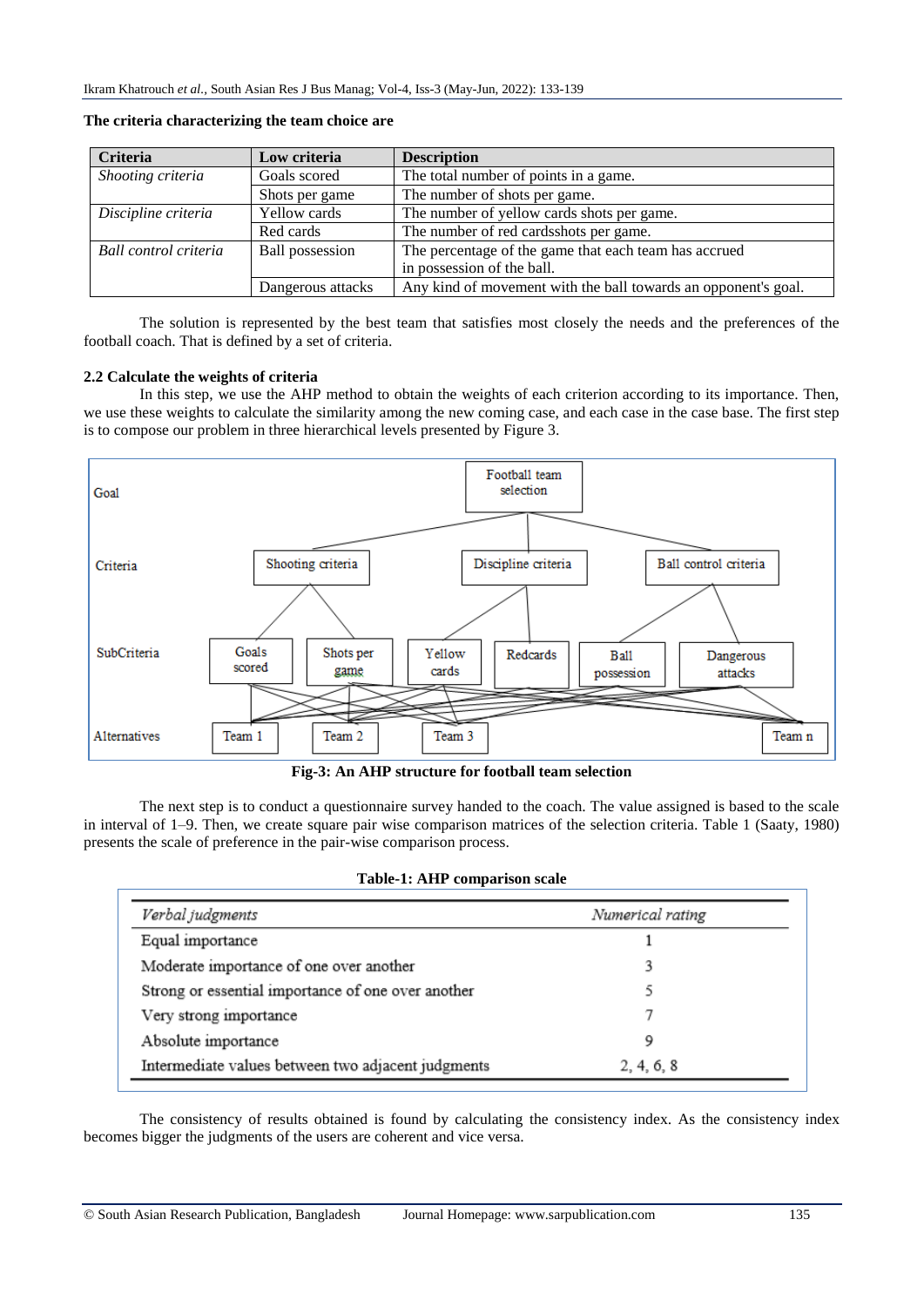| <b>Criteria</b>       | Low criteria           | <b>Description</b>                                             |
|-----------------------|------------------------|----------------------------------------------------------------|
| Shooting criteria     | Goals scored           | The total number of points in a game.                          |
|                       | Shots per game         | The number of shots per game.                                  |
| Discipline criteria   | Yellow cards           | The number of yellow cards shots per game.                     |
|                       | Red cards              | The number of red cardsshots per game.                         |
| Ball control criteria | <b>Ball</b> possession | The percentage of the game that each team has accrued          |
|                       |                        | in possession of the ball.                                     |
|                       | Dangerous attacks      | Any kind of movement with the ball towards an opponent's goal. |

**The criteria characterizing the team choice are**

The solution is represented by the best team that satisfies most closely the needs and the preferences of the football coach. That is defined by a set of criteria.

#### **2.2 Calculate the weights of criteria**

In this step, we use the AHP method to obtain the weights of each criterion according to its importance. Then, we use these weights to calculate the similarity among the new coming case, and each case in the case base. The first step is to compose our problem in three hierarchical levels presented by Figure 3.



**Fig-3: An AHP structure for football team selection**

The next step is to conduct a questionnaire survey handed to the coach. The value assigned is based to the scale in interval of 1–9. Then, we create square pair wise comparison matrices of the selection criteria. Table 1 (Saaty, 1980) presents the scale of preference in the pair-wise comparison process.

|  |  | Table-1: AHP comparison scale |  |
|--|--|-------------------------------|--|
|--|--|-------------------------------|--|

| Verbal judgments                                   | Numerical rating |
|----------------------------------------------------|------------------|
| Equal importance                                   |                  |
| Moderate importance of one over another            |                  |
| Strong or essential importance of one over another |                  |
| Very strong importance                             |                  |
| Absolute importance                                | 9                |
| Intermediate values between two adjacent judgments | 2, 4, 6, 8       |

The consistency of results obtained is found by calculating the consistency index. As the consistency index becomes bigger the judgments of the users are coherent and vice versa.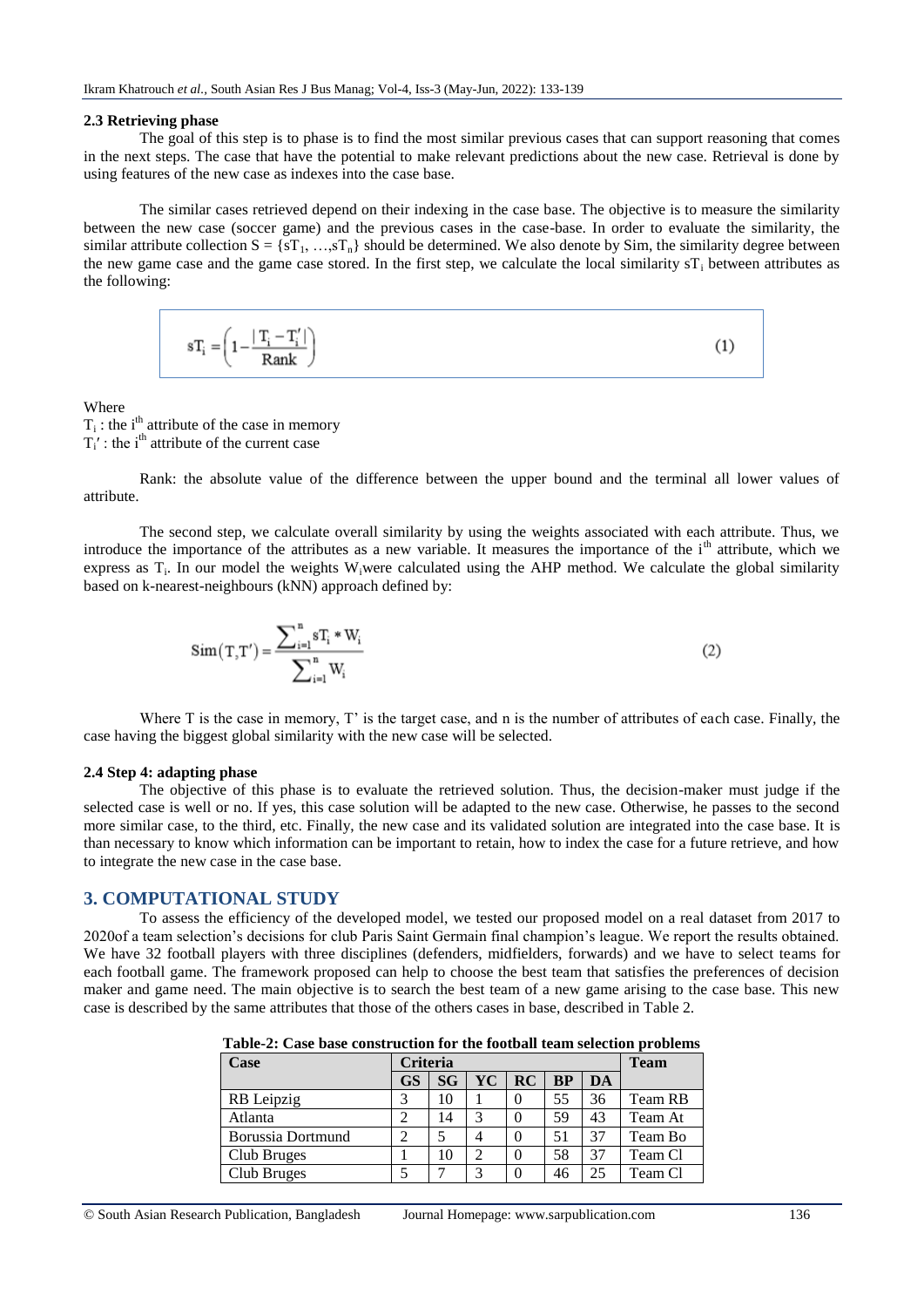#### **2.3 Retrieving phase**

The goal of this step is to phase is to find the most similar previous cases that can support reasoning that comes in the next steps. The case that have the potential to make relevant predictions about the new case. Retrieval is done by using features of the new case as indexes into the case base.

The similar cases retrieved depend on their indexing in the case base. The objective is to measure the similarity between the new case (soccer game) and the previous cases in the case-base. In order to evaluate the similarity, the similar attribute collection  $S = \{sT_1, ..., sT_n\}$  should be determined. We also denote by Sim, the similarity degree between the new game case and the game case stored. In the first step, we calculate the local similarity  $sT_i$  between attributes as the following:

$$
sT_i = \left(1 - \frac{|T_i - T_i'|}{Rank}\right)
$$
 (1)

**Where** 

 $T_i$ : the i<sup>th</sup> attribute of the case in memory  $T_i'$ : the i<sup>th</sup> attribute of the current case

Rank: the absolute value of the difference between the upper bound and the terminal all lower values of attribute.

The second step, we calculate overall similarity by using the weights associated with each attribute. Thus, we introduce the importance of the attributes as a new variable. It measures the importance of the i<sup>th</sup> attribute, which we express as  $T_i$ . In our model the weights W<sub>i</sub>were calculated using the AHP method. We calculate the global similarity based on k-nearest-neighbours (kNN) approach defined by:

$$
Sim(T, T') = \frac{\sum_{i=1}^{n} sT_i * W_i}{\sum_{i=1}^{n} W_i}
$$
 (2)

Where T is the case in memory, T' is the target case, and n is the number of attributes of each case. Finally, the case having the biggest global similarity with the new case will be selected.

#### **2.4 Step 4: adapting phase**

The objective of this phase is to evaluate the retrieved solution. Thus, the decision-maker must judge if the selected case is well or no. If yes, this case solution will be adapted to the new case. Otherwise, he passes to the second more similar case, to the third, etc. Finally, the new case and its validated solution are integrated into the case base. It is than necessary to know which information can be important to retain, how to index the case for a future retrieve, and how to integrate the new case in the case base.

#### **3. COMPUTATIONAL STUDY**

To assess the efficiency of the developed model, we tested our proposed model on a real dataset from 2017 to 2020of a team selection's decisions for club Paris Saint Germain final champion's league. We report the results obtained. We have 32 football players with three disciplines (defenders, midfielders, forwards) and we have to select teams for each football game. The framework proposed can help to choose the best team that satisfies the preferences of decision maker and game need. The main objective is to search the best team of a new game arising to the case base. This new case is described by the same attributes that those of the others cases in base, described in Table 2.

|--|

| <b>Case</b>       | <b>Criteria</b> |    |    |          |           |    | <b>Team</b> |
|-------------------|-----------------|----|----|----------|-----------|----|-------------|
|                   | <b>GS</b>       | SG | YC | RC       | <b>BP</b> | DA |             |
| RB Leipzig        | 3               | 10 |    | $\theta$ | 55        | 36 | Team RB     |
| Atlanta           | 2               | 14 | 3  |          | 59        | 43 | Team At     |
| Borussia Dortmund | $\overline{c}$  |    |    |          | 51        | 37 | Team Bo     |
| Club Bruges       |                 | 10 |    | $\theta$ | 58        | 37 | Team Cl     |
| Club Bruges       |                 |    |    |          | 46        | 25 | Team Cl     |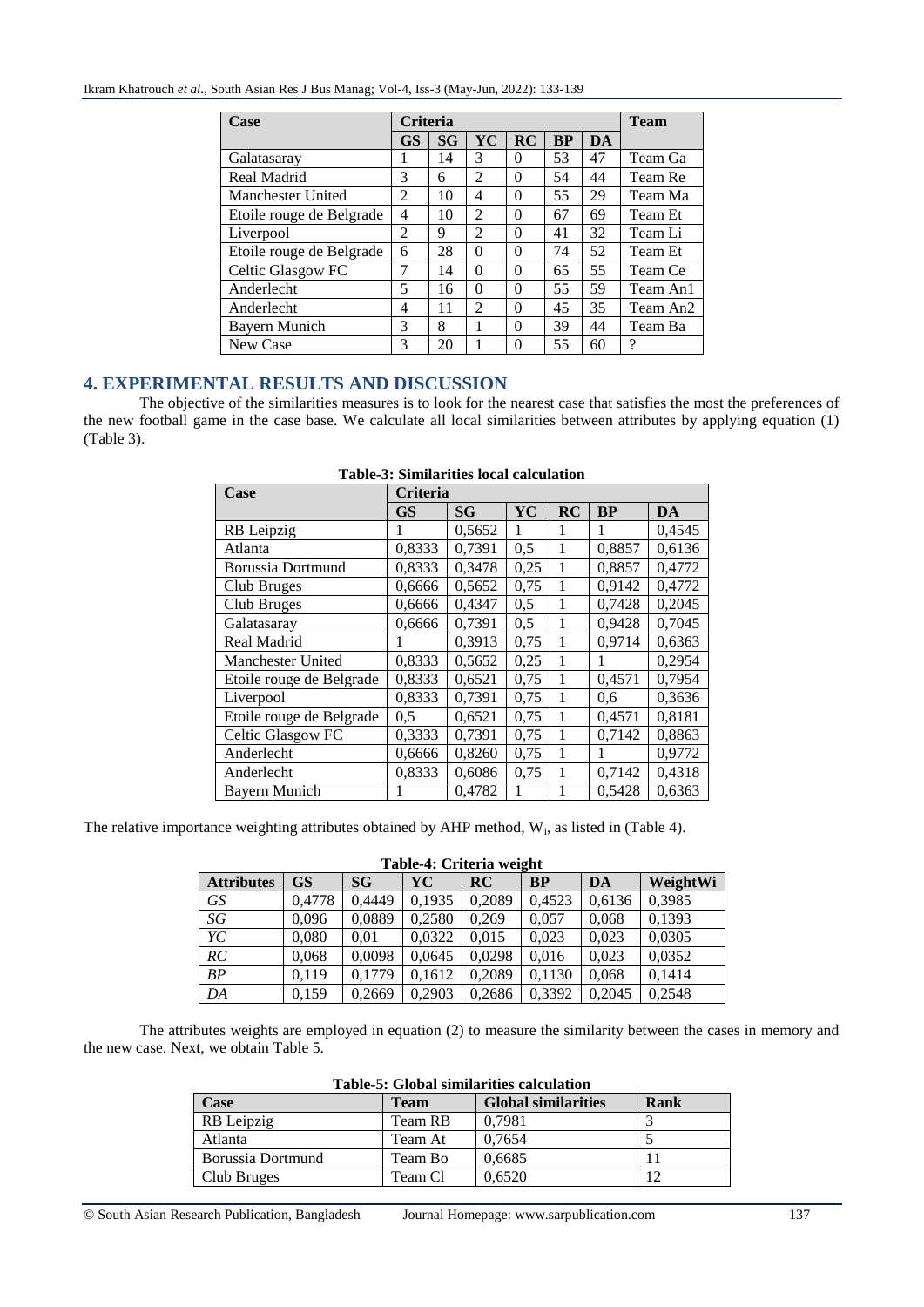| <b>Case</b>              | <b>Criteria</b> |           |                             |           |    |    | <b>Team</b> |
|--------------------------|-----------------|-----------|-----------------------------|-----------|----|----|-------------|
|                          | <b>GS</b>       | <b>SG</b> | YC                          | <b>RC</b> | BP | DA |             |
| Galatasaray              |                 | 14        | 3                           | 0         | 53 | 47 | Team Ga     |
| Real Madrid              | 3               | 6         | $\overline{c}$              | 0         | 54 | 44 | Team Re     |
| <b>Manchester United</b> | $\overline{c}$  | 10        | 4                           | 0         | 55 | 29 | Team Ma     |
| Etoile rouge de Belgrade | 4               | 10        | $\mathfrak{D}$              | 0         | 67 | 69 | Team Et     |
| Liverpool                | $\overline{2}$  | 9         | 2                           | $\Omega$  | 41 | 32 | Team Li     |
| Etoile rouge de Belgrade | 6               | 28        | 0                           | 0         | 74 | 52 | Team Et     |
| Celtic Glasgow FC        | 7               | 14        | $\Omega$                    | $\Omega$  | 65 | 55 | Team Ce     |
| Anderlecht               | 5               | 16        | $\Omega$                    | $\Omega$  | 55 | 59 | Team An1    |
| Anderlecht               | 4               | 11        | $\mathcal{D}_{\mathcal{L}}$ | $\Omega$  | 45 | 35 | Team An2    |
| Bayern Munich            | 3               | 8         |                             | $\Omega$  | 39 | 44 | Team Ba     |
| New Case                 | 3               | 20        |                             | $\Omega$  | 55 | 60 | 9           |

# **4. EXPERIMENTAL RESULTS AND DISCUSSION**

The objective of the similarities measures is to look for the nearest case that satisfies the most the preferences of the new football game in the case base. We calculate all local similarities between attributes by applying equation (1) (Table 3).

| Case                     | <b>Criteria</b> |           |      |    |           |        |  |  |
|--------------------------|-----------------|-----------|------|----|-----------|--------|--|--|
|                          | <b>GS</b>       | <b>SG</b> | YC   | RC | <b>BP</b> | DA     |  |  |
| RB Leipzig               |                 | 0,5652    | 1    | 1  | 1         | 0,4545 |  |  |
| Atlanta                  | 0,8333          | 0,7391    | 0,5  | 1  | 0,8857    | 0,6136 |  |  |
| Borussia Dortmund        | 0,8333          | 0,3478    | 0,25 | 1  | 0,8857    | 0,4772 |  |  |
| Club Bruges              | 0,6666          | 0,5652    | 0,75 | 1  | 0,9142    | 0,4772 |  |  |
| Club Bruges              | 0,6666          | 0,4347    | 0,5  | 1  | 0,7428    | 0,2045 |  |  |
| Galatasaray              | 0,6666          | 0,7391    | 0,5  | 1  | 0,9428    | 0,7045 |  |  |
| Real Madrid              |                 | 0,3913    | 0,75 | 1  | 0,9714    | 0,6363 |  |  |
| <b>Manchester United</b> | 0,8333          | 0,5652    | 0,25 | 1  | 1         | 0,2954 |  |  |
| Etoile rouge de Belgrade | 0,8333          | 0,6521    | 0,75 | 1  | 0,4571    | 0,7954 |  |  |
| Liverpool                | 0,8333          | 0,7391    | 0,75 | 1  | 0,6       | 0,3636 |  |  |
| Etoile rouge de Belgrade | 0,5             | 0,6521    | 0,75 | 1  | 0,4571    | 0,8181 |  |  |
| Celtic Glasgow FC        | 0,3333          | 0,7391    | 0,75 | 1  | 0,7142    | 0,8863 |  |  |
| Anderlecht               | 0,6666          | 0,8260    | 0,75 | 1  | 1         | 0,9772 |  |  |
| Anderlecht               | 0,8333          | 0,6086    | 0.75 | 1  | 0,7142    | 0,4318 |  |  |
| Bayern Munich            |                 | 0,4782    | 1    | 1  | 0,5428    | 0,6363 |  |  |

The relative importance weighting attributes obtained by AHP method,  $W_i$ , as listed in (Table 4).

# **Table-4: Criteria weight**

| <b>Attributes</b> | <b>GS</b> | SG     | YC     | RC     | <b>BP</b> | DA     | WeightWi |
|-------------------|-----------|--------|--------|--------|-----------|--------|----------|
| <b>GS</b>         | 0,4778    | 0,4449 | 0,1935 | 0,2089 | 0,4523    | 0,6136 | 0,3985   |
| SG                | 0,096     | 0,0889 | 0,2580 | 0.269  | 0.057     | 0,068  | 0,1393   |
| YC                | 0,080     | 0.01   | 0.0322 | 0.015  | 0.023     | 0.023  | 0,0305   |
| RC                | 0,068     | 0,0098 | 0,0645 | 0.0298 | 0,016     | 0,023  | 0,0352   |
| BP                | 0.119     | 0.1779 | 0.1612 | 0.2089 | 0,1130    | 0,068  | 0,1414   |
| DA                | 0,159     | 0,2669 | 0.2903 | 0,2686 | 0,3392    | 0,2045 | 0,2548   |

The attributes weights are employed in equation (2) to measure the similarity between the cases in memory and the new case. Next, we obtain Table 5.

| Table-5: Global similarities calculation |             |                            |      |  |  |  |  |
|------------------------------------------|-------------|----------------------------|------|--|--|--|--|
| Case                                     | <b>Team</b> | <b>Global similarities</b> | Rank |  |  |  |  |
| RB Leipzig                               | Team RB     | 0.7981                     |      |  |  |  |  |
| Atlanta                                  | Team At     | 0.7654                     |      |  |  |  |  |
| Borussia Dortmund                        | Team Bo     | 0.6685                     |      |  |  |  |  |
| Club Bruges                              | Team Cl     | 0.6520                     |      |  |  |  |  |

# **Table-5: Global similarities calculation**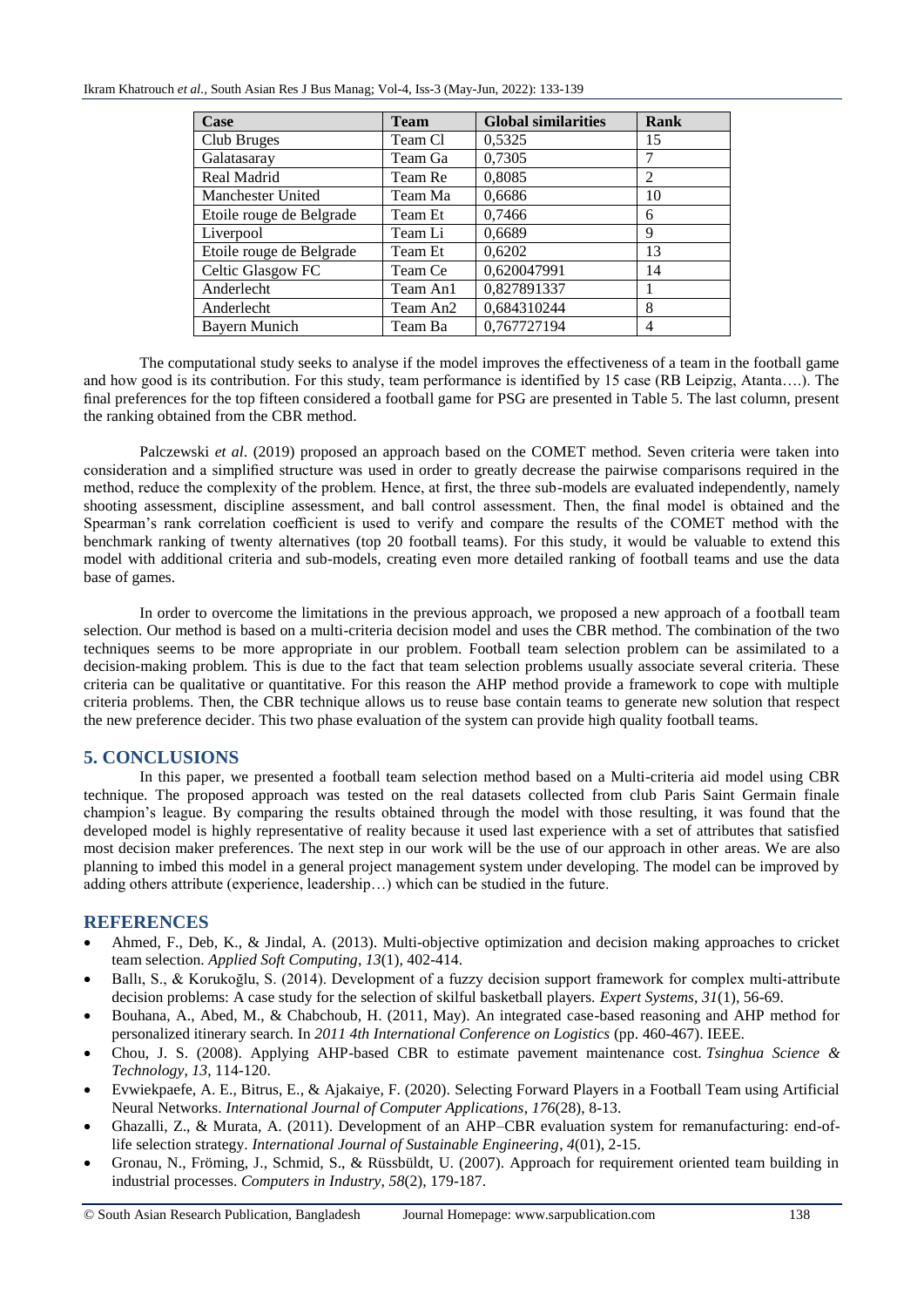#### Ikram Khatrouch *et al.,* South Asian Res J Bus Manag; Vol-4, Iss-3 (May-Jun, 2022): 133-139

| Case                     | <b>Team</b> | <b>Global similarities</b> | Rank |
|--------------------------|-------------|----------------------------|------|
| Club Bruges              | Team Cl     | 0,5325                     | 15   |
| Galatasaray              | Team Ga     | 0,7305                     | 7    |
| Real Madrid              | Team Re     | 0,8085                     | 2    |
| Manchester United        | Team Ma     | 0,6686                     | 10   |
| Etoile rouge de Belgrade | Team Et     | 0,7466                     | 6    |
| Liverpool                | Team Li     | 0,6689                     | 9    |
| Etoile rouge de Belgrade | Team Et     | 0,6202                     | 13   |
| Celtic Glasgow FC        | Team Ce     | 0,620047991                | 14   |
| Anderlecht               | Team An1    | 0,827891337                |      |
| Anderlecht               | Team An2    | 0,684310244                | 8    |
| Bayern Munich            | Team Ba     | 0,767727194                | 4    |

The computational study seeks to analyse if the model improves the effectiveness of a team in the football game and how good is its contribution. For this study, team performance is identified by 15 case (RB Leipzig, Atanta….). The final preferences for the top fifteen considered a football game for PSG are presented in Table 5. The last column, present the ranking obtained from the CBR method.

Palczewski *et al*. (2019) proposed an approach based on the COMET method. Seven criteria were taken into consideration and a simplified structure was used in order to greatly decrease the pairwise comparisons required in the method, reduce the complexity of the problem. Hence, at first, the three sub-models are evaluated independently, namely shooting assessment, discipline assessment, and ball control assessment. Then, the final model is obtained and the Spearman's rank correlation coefficient is used to verify and compare the results of the COMET method with the benchmark ranking of twenty alternatives (top 20 football teams). For this study, it would be valuable to extend this model with additional criteria and sub-models, creating even more detailed ranking of football teams and use the data base of games.

In order to overcome the limitations in the previous approach, we proposed a new approach of a football team selection. Our method is based on a multi-criteria decision model and uses the CBR method. The combination of the two techniques seems to be more appropriate in our problem. Football team selection problem can be assimilated to a decision-making problem. This is due to the fact that team selection problems usually associate several criteria. These criteria can be qualitative or quantitative. For this reason the AHP method provide a framework to cope with multiple criteria problems. Then, the CBR technique allows us to reuse base contain teams to generate new solution that respect the new preference decider. This two phase evaluation of the system can provide high quality football teams.

# **5. CONCLUSIONS**

In this paper, we presented a football team selection method based on a Multi-criteria aid model using CBR technique. The proposed approach was tested on the real datasets collected from club Paris Saint Germain finale champion's league. By comparing the results obtained through the model with those resulting, it was found that the developed model is highly representative of reality because it used last experience with a set of attributes that satisfied most decision maker preferences. The next step in our work will be the use of our approach in other areas. We are also planning to imbed this model in a general project management system under developing. The model can be improved by adding others attribute (experience, leadership…) which can be studied in the future.

# **REFERENCES**

- Ahmed, F., Deb, K., & Jindal, A. (2013). Multi-objective optimization and decision making approaches to cricket team selection. *Applied Soft Computing*, *13*(1), 402-414.
- Ballı, S., & Korukoğlu, S. (2014). Development of a fuzzy decision support framework for complex multi-attribute decision problems: A case study for the selection of skilful basketball players. *Expert Systems*, *31*(1), 56-69.
- Bouhana, A., Abed, M., & Chabchoub, H. (2011, May). An integrated case-based reasoning and AHP method for personalized itinerary search. In *2011 4th International Conference on Logistics* (pp. 460-467). IEEE.
- Chou, J. S. (2008). Applying AHP-based CBR to estimate pavement maintenance cost. *Tsinghua Science & Technology*, *13*, 114-120.
- Evwiekpaefe, A. E., Bitrus, E., & Ajakaiye, F. (2020). Selecting Forward Players in a Football Team using Artificial Neural Networks. *International Journal of Computer Applications*, *176*(28), 8-13.
- Ghazalli, Z., & Murata, A. (2011). Development of an AHP–CBR evaluation system for remanufacturing: end-oflife selection strategy. *International Journal of Sustainable Engineering*, *4*(01), 2-15.
- Gronau, N., Fröming, J., Schmid, S., & Rüssbüldt, U. (2007). Approach for requirement oriented team building in industrial processes. *Computers in Industry*, *58*(2), 179-187.